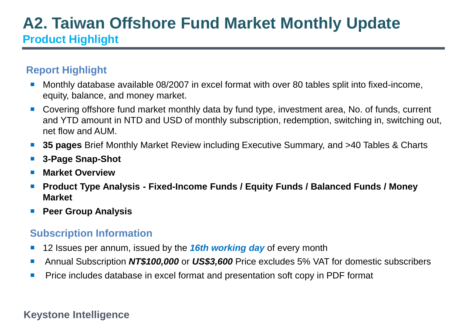# **A2. Taiwan Offshore Fund Market Monthly Update Product Highlight**

# **Report Highlight**

- Monthly database available 08/2007 in excel format with over 80 tables split into fixed-income, equity, balance, and money market.
- Covering offshore fund market monthly data by fund type, investment area, No. of funds, current and YTD amount in NTD and USD of monthly subscription, redemption, switching in, switching out, net flow and AUM.
- **35 pages** Brief Monthly Market Review including Executive Summary, and >40 Tables & Charts
- **3-Page Snap-Shot**
- **Market Overview**
- **Product Type Analysis - Fixed-Income Funds / Equity Funds / Balanced Funds / Money Market**
- **Peer Group Analysis**

# **Subscription Information**

- 12 Issues per annum, issued by the *16th working day* of every month
- Annual Subscription **NT\$100,000** or US\$3,600 Price excludes 5% VAT for domestic subscribers
- Price includes database in excel format and presentation soft copy in PDF format

## **Keystone Intelligence**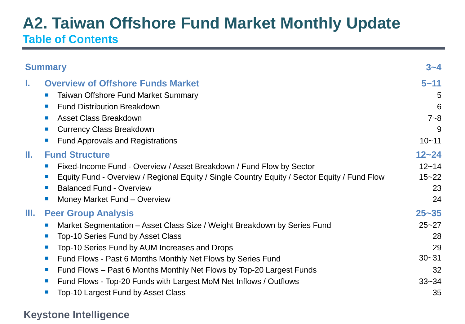# **A2. Taiwan Offshore Fund Market Monthly Update Table of Contents**

| <b>Summary</b>                                                                                                                                                                                                                                                                                                                                                                                                                                                                                                                                                   | $3 - 4$                                                                  |
|------------------------------------------------------------------------------------------------------------------------------------------------------------------------------------------------------------------------------------------------------------------------------------------------------------------------------------------------------------------------------------------------------------------------------------------------------------------------------------------------------------------------------------------------------------------|--------------------------------------------------------------------------|
| <b>Overview of Offshore Funds Market</b><br>L.<br><b>Taiwan Offshore Fund Market Summary</b><br>$\sim$ 1<br><b>Fund Distribution Breakdown</b><br>$\mathcal{L}_{\mathcal{A}}$<br><b>Asset Class Breakdown</b><br><b>All</b><br><b>Currency Class Breakdown</b><br>$\mathcal{C}^{\mathcal{A}}$<br><b>Fund Approvals and Registrations</b>                                                                                                                                                                                                                         | $5 - 11$<br>5<br>6<br>$7 - 8$<br>9<br>$10 - 11$                          |
| Ш.<br><b>Fund Structure</b><br>Fixed-Income Fund - Overview / Asset Breakdown / Fund Flow by Sector<br>$\sim$ 1<br>Equity Fund - Overview / Regional Equity / Single Country Equity / Sector Equity / Fund Flow<br>$\Box$<br><b>Balanced Fund - Overview</b><br>$\mathcal{L}_{\mathcal{A}}$<br>Money Market Fund - Overview<br>$\mathbb{R}^n$                                                                                                                                                                                                                    | $12 - 24$<br>$12 - 14$<br>$15 - 22$<br>23<br>24                          |
| Ш.<br><b>Peer Group Analysis</b><br>Market Segmentation – Asset Class Size / Weight Breakdown by Series Fund<br>$\sim$<br><b>Top-10 Series Fund by Asset Class</b><br>$\mathcal{A}$<br>Top-10 Series Fund by AUM Increases and Drops<br>ш<br>Fund Flows - Past 6 Months Monthly Net Flows by Series Fund<br>$\left\vert \cdot \right\vert$<br>Fund Flows – Past 6 Months Monthly Net Flows by Top-20 Largest Funds<br><b>College</b><br>Fund Flows - Top-20 Funds with Largest MoM Net Inflows / Outflows<br>$\mathcal{A}$<br>Top-10 Largest Fund by Asset Class | $25 - 35$<br>$25 - 27$<br>28<br>29<br>$30 - 31$<br>32<br>$33 - 34$<br>35 |

## **Keystone Intelligence**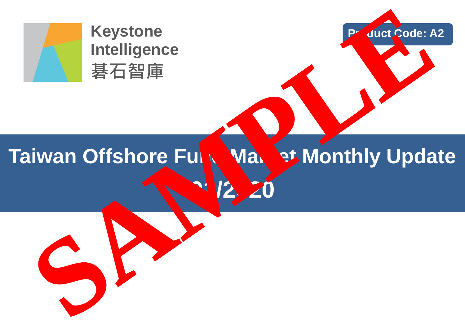

**Keystone Intelligence 碁石智庫**

# **Taiwan Offshore Fully Warket Monthly Update 01/2020 Product Code: A2 SAMPLE**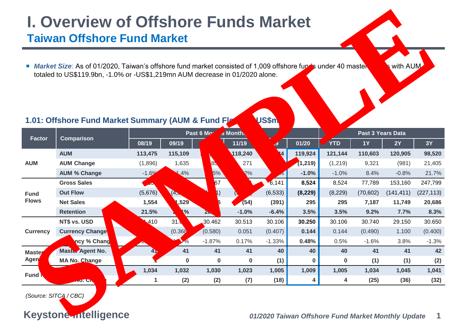# **I. Overview of Offshore Funds Market Taiwan Offshore Fund Market**

**Factor Comparison Past 6 M<sub>p</sub>** is Month **Matter of Apple 2 Apple 2 Apple 2 Apple 2 Apple 2 Apple 2 Apple 2 Apple 2 Apple 2 Apple 2 Apple 2 Apple 2 Apple 2 Apple 2 Apple 2 Apple 2 Apple 2 Apple 2 Apple 2 Apple 2 Apple 2 Apple 2 Apple 2 Appl 08/19 09/19 10/19 11/19 12/19 01/20 YTD 1Y 2Y 3Y AUM AUM 113,475 115,109 117,969 118,240 121,144 119,924 121,144 110,603 120,905 98,520 AUM Change (1,896) 1,635 85 271 (1,219) (1,219) 9,321 (981) 21,405 AUM % Change** -1.6% 1.4% 2.5% 0.2% 2.5% **-1.0%** -1.0% 8.4% -0.8% 21.7% **Fund Flows Gross Sales** 7,231 6,100 6,167 5,661 6,141 **8,524** 8,524 77,789 153,160 247,799 **Out Flow (5,676) (4,5th (1) (1) (5,633) (6,533) (8,229)** (8,229) (70,602) (141,411) (227,113) **Net Sales 1,554 1,529 1,236 (54) (391) 295 295 7,187 11,749 20,686 Retention 21.5% 25.1% 20.0% -1.0% -6.4% 3.5% 3.5% 9.2% 7.7% 8.3% Currency NT\$ vs. USD 31.410 31.0**2 30.462 30.513 30.106 **30.250 30.106** 30.740 29.150 30.650 **Currency Change** 1.100 (0.400) **44** (0.368 (0.580) 0.051 (0.407) **0.144** 0.144 (0.490) 1.100 (0.400) **Currency % Change** 1.01% -1.17% -1.87% 0.17% -1.33% **0.48%** 0.5% -1.6% 3.8% -1.3% **Mast** Age **Master Agent No. 41 41 41 41 40 40 40 41 41 42 MA No. Change 1 0 0 0 (1) 0 0 (1) (1) (2) Fund Fund No. 1,034 1,032 1,030 1,023 1,005 1,009 1,005 1,034 1,045 1,041 Fund No. Change 1 (2) (2) (7) (18) 4 4 (25) (36) (32) 1.01: Offshore Fund Market Summary (AUM & Fund Flows in US\$m Market Size**: As of 01/2020, Taiwan's offshore fund market consisted of 1,009 offshore funds under 40 master and with AUM **The Control of Contract Control of Contract Control of Contract Control of Contract Control of Contract Control of Contract Control of Contract Control of Contract Control of Contract Control of Contract Control of Contr** 

*(Source: SITCA / CBC)*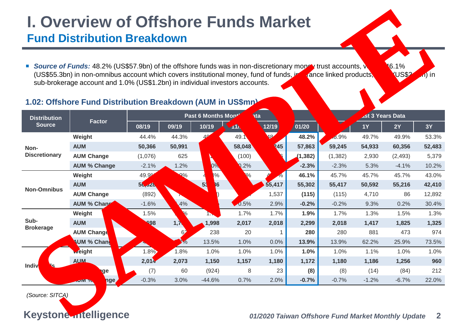# **I. Overview of Offshore Funds Market Fund Distribution Breakdown**

## **1.02: Offshore Fund Distribution Breakdown (AUM in US\$mn)**

| <b>I. Overview of Offshore Funds Market</b><br><b>Fund Distribution Breakdown</b> |                                                                                                                                                                                                                                                                                                                                     |                 |                   |                         |                 |            |          |                                                                 |           |                      |                   |
|-----------------------------------------------------------------------------------|-------------------------------------------------------------------------------------------------------------------------------------------------------------------------------------------------------------------------------------------------------------------------------------------------------------------------------------|-----------------|-------------------|-------------------------|-----------------|------------|----------|-----------------------------------------------------------------|-----------|----------------------|-------------------|
|                                                                                   | <b>Source of Funds:</b> 48.2% (US\$57.9bn) of the offshore funds was in non-discretionary more<br>(US\$55.3bn) in non-omnibus account which covers institutional money, fund of funds<br>sub-brokerage account and 1.0% (US\$1.2bn) in individual investors accounts.<br>1.02: Offshore Fund Distribution Breakdown (AUM in US\$mr) |                 |                   |                         |                 |            |          | $\sqrt{x}$ trust accounts, $\sqrt{x}$<br>tance linked products, |           | 6.1%<br><b>JS\$2</b> | $\mathbf{A}$ ) in |
| <b>Distribution</b>                                                               | <b>Factor</b>                                                                                                                                                                                                                                                                                                                       |                 | Past 6 Months Mor | <b>Ast 3 Years Data</b> |                 |            |          |                                                                 |           |                      |                   |
| <b>Source</b>                                                                     |                                                                                                                                                                                                                                                                                                                                     | 08/19           | 09/19             | 10/19                   | 11 <sub>b</sub> | 12/19      | 01/20    |                                                                 | <b>1Y</b> | 2Y                   | <b>3Y</b>         |
| Non-<br><b>Discretionary</b>                                                      | Weight                                                                                                                                                                                                                                                                                                                              | 44.4%           | 44.3%             |                         | 49.1            | 3%         | 48.2%    | 16.9%                                                           | 49.7%     | 49.9%                | 53.3%             |
|                                                                                   | <b>AUM</b>                                                                                                                                                                                                                                                                                                                          | 50,366          | 50,991            |                         | 58,048          | <b>245</b> | 57,863   | 59,245                                                          | 54,933    | 60,356               | 52,483            |
|                                                                                   | <b>AUM Change</b>                                                                                                                                                                                                                                                                                                                   | (1,076)         | 625               |                         | (100)           |            | (1, 382) | (1, 382)                                                        | 2,930     | (2, 493)             | 5,379             |
|                                                                                   | <b>AUM % Change</b>                                                                                                                                                                                                                                                                                                                 | $-2.1%$         | 1.2%              | $.0\%$                  | $0.2\%$         |            | $-2.3%$  | $-2.3%$                                                         | 5.3%      | $-4.1%$              | 10.2%             |
|                                                                                   | Weight                                                                                                                                                                                                                                                                                                                              | 49 <sup>c</sup> | $\Omega\%$        | 4%                      |                 |            | 46.1%    | 45.7%                                                           | 45.7%     | 45.7%                | 43.0%             |
| <b>Non-Omnibus</b>                                                                | <b>AUM</b>                                                                                                                                                                                                                                                                                                                          | 56,628          |                   | 53<br>86                |                 | 55,417     | 55,302   | 55,417                                                          | 50,592    | 55,216               | 42,410            |
|                                                                                   | <b>AUM Change</b>                                                                                                                                                                                                                                                                                                                   | (892)           |                   |                         |                 | 1,537      | (115)    | (115)                                                           | 4,710     | 86                   | 12,892            |
|                                                                                   | AUM % Change                                                                                                                                                                                                                                                                                                                        | $-1.6%$         | .4%               |                         | 0.5%            | 2.9%       | $-0.2%$  | $-0.2%$                                                         | 9.3%      | 0.2%                 | 30.4%             |
|                                                                                   | Weight                                                                                                                                                                                                                                                                                                                              | 1.5%            | $\sqrt{6}$        | ъ                       | 1.7%            | 1.7%       | 1.9%     | 1.7%                                                            | 1.3%      | 1.5%                 | 1.3%              |
| Sub-<br><b>Brokerage</b>                                                          | <b>AUM</b>                                                                                                                                                                                                                                                                                                                          | 1,698           | 1,7               | 1,998                   | 2,017           | 2,018      | 2,299    | 2,018                                                           | 1,417     | 1,825                | 1,325             |
|                                                                                   | <b>AUM Change</b>                                                                                                                                                                                                                                                                                                                   |                 | 62                | 238                     | 20              | 1          | 280      | 280                                                             | 881       | 473                  | 974               |
|                                                                                   | UM % Chang                                                                                                                                                                                                                                                                                                                          |                 | 7%                | 13.5%                   | 1.0%            | 0.0%       | 13.9%    | 13.9%                                                           | 62.2%     | 25.9%                | 73.5%             |
|                                                                                   | <b>Weight</b>                                                                                                                                                                                                                                                                                                                       | 1.8             | 1.8%              | 1.0%                    | 1.0%            | 1.0%       | 1.0%     | 1.0%                                                            | 1.1%      | 1.0%                 | 1.0%              |
| Indi                                                                              | <b>AUM</b>                                                                                                                                                                                                                                                                                                                          | 2,6,7           | 2,073             | 1,150                   | 1,157           | 1,180      | 1,172    | 1,180                                                           | 1,186     | 1,256                | 960               |
|                                                                                   | ge                                                                                                                                                                                                                                                                                                                                  | (7)             | 60                | (924)                   | 8               | 23         | (8)      | (8)                                                             | (14)      | (84)                 | 212               |
|                                                                                   | nge                                                                                                                                                                                                                                                                                                                                 | $-0.3%$         | 3.0%              | $-44.6%$                | 0.7%            | 2.0%       | $-0.7%$  | $-0.7%$                                                         | $-1.2%$   | $-6.7%$              | 22.0%             |
| (Source: SITCA)                                                                   | <b>Keystone ntelligence</b>                                                                                                                                                                                                                                                                                                         |                 |                   |                         |                 |            |          | 01/2020 Taiwan Offshore Fund Market Monthly Update              |           |                      | $\mathbf{2}$      |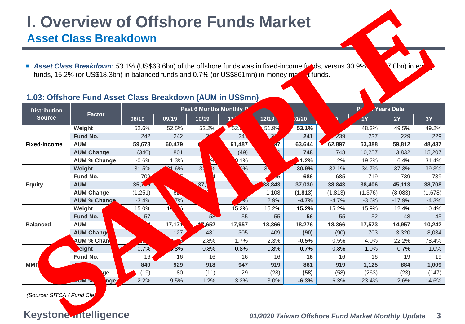# **I. Overview of Offshore Funds Market**

# **Asset Class Breakdown**

## **1.03: Offshore Fund Asset Class Breakdown (AUM in US\$mn)**

| <b>I. Overview of Offshore Funds Market</b><br><b>Asset Class Breakdown</b>                                                                                                                                                                                                                        |                      |         |             |                               |                   |            |                |                                                    |              |          |              |  |
|----------------------------------------------------------------------------------------------------------------------------------------------------------------------------------------------------------------------------------------------------------------------------------------------------|----------------------|---------|-------------|-------------------------------|-------------------|------------|----------------|----------------------------------------------------|--------------|----------|--------------|--|
| Asset Class Breakdown: 53.1% (US\$63.6bn) of the offshore funds was in fixed-income.<br>ds, versus 30.9%<br>$($ .0bn) in e $\prime$<br>funds, 15.2% (or US\$18.3bn) in balanced funds and 0.7% (or US\$861mn) in money po<br>t funds.<br>1.03: Offshore Fund Asset Class Breakdown (AUM in US\$mn) |                      |         |             |                               |                   |            |                |                                                    |              |          |              |  |
| <b>Distribution</b>                                                                                                                                                                                                                                                                                |                      |         |             | Past 6 Months Monthly         | <b>Years Data</b> |            |                |                                                    |              |          |              |  |
| <b>Source</b>                                                                                                                                                                                                                                                                                      | <b>Factor</b>        | 08/19   | 09/19       | 10/19                         |                   | 12/19      | $\sqrt{01/20}$ |                                                    | $\mathbf{1}$ | 2Y       | <b>3Y</b>    |  |
|                                                                                                                                                                                                                                                                                                    | Weight               | 52.6%   | 52.5%       | 52.2%                         | 52.               | 51.99      | 53.1%          |                                                    | 48.3%        | 49.5%    | 49.2%        |  |
| <b>Fixed-Income</b>                                                                                                                                                                                                                                                                                | <b>Fund No.</b>      | 242     | 242         |                               | 24                |            | 241            | 239                                                | 237          | 229      | 229          |  |
|                                                                                                                                                                                                                                                                                                    | <b>AUM</b>           | 59,678  | 60,479      |                               | 61,487            | 97         | 63,644         | 62,897                                             | 53,388       | 59,812   | 48,437       |  |
|                                                                                                                                                                                                                                                                                                    | <b>AUM Change</b>    | (340)   | 801         |                               | (49)              |            | 748            | 748                                                | 10,257       | 3,832    | 15,207       |  |
|                                                                                                                                                                                                                                                                                                    | <b>AUM % Change</b>  | $-0.6%$ | 1.3%        | W                             | 0.1%              |            | 1.2%           | 1.2%                                               | 19.2%        | 6.4%     | 31.4%        |  |
|                                                                                                                                                                                                                                                                                                    | Weight               | 31.5%   | <b>M.6%</b> | $\sqrt[6]{\frac{1}{2}}$<br>32 | $R\%$             | $3\lambda$ | 30.9%          | 32.1%                                              | 34.7%        | 37.3%    | 39.3%        |  |
|                                                                                                                                                                                                                                                                                                    | Fund No.             | 70      |             | 14                            |                   | ರಂ         | 686            | 685                                                | 719          | 739      | 739          |  |
| <b>Equity</b>                                                                                                                                                                                                                                                                                      | <b>AUM</b>           | 35,795  |             | 37,7                          |                   | 88,843     | 37,030         | 38,843                                             | 38,406       | 45,113   | 38,708       |  |
|                                                                                                                                                                                                                                                                                                    | <b>AUM Change</b>    | (1,251) | ხ⊾          |                               |                   | 1,108      | (1, 813)       | (1, 813)                                           | (1,376)      | (8,083)  | (1,678)      |  |
|                                                                                                                                                                                                                                                                                                    | <b>AUM % Change</b>  | $-3.4%$ | 7%          |                               | $J\%$             | 2.9%       | $-4.7%$        | $-4.7%$                                            | $-3.6%$      | $-17.9%$ | $-4.3%$      |  |
|                                                                                                                                                                                                                                                                                                    | Weight               | 15.0%   | $\sqrt{2}$  |                               | 15.2%             | 15.2%      | 15.2%          | 15.2%                                              | 15.9%        | 12.4%    | 10.4%        |  |
|                                                                                                                                                                                                                                                                                                    | Fund No.             | 57      |             | 58                            | 55                | 55         | 56             | 55                                                 | 52           | 48       | 45           |  |
| <b>Balanced</b>                                                                                                                                                                                                                                                                                    | <b>AUM</b>           | 044     | 17,171      | 47,652                        | 17,957            | 18,366     | 18,276         | 18,366                                             | 17,573       | 14,957   | 10,242       |  |
|                                                                                                                                                                                                                                                                                                    | <b>AUM Change</b>    |         | 127         | 481                           | 305               | 409        | (90)           | (90)                                               | 703          | 3,320    | 8,034        |  |
|                                                                                                                                                                                                                                                                                                    | <b>NUM % Chang</b>   |         | 0.7%        | 2.8%                          | 1.7%              | 2.3%       | $-0.5%$        | $-0.5%$                                            | 4.0%         | 22.2%    | 78.4%        |  |
|                                                                                                                                                                                                                                                                                                    | <b>ight</b>          |         | .8%         | 0.8%                          | 0.8%              | 0.8%       | 0.7%           | 0.8%                                               | 1.0%         | 0.7%     | 1.0%         |  |
|                                                                                                                                                                                                                                                                                                    | Fund No.             | 16      | 16          | 16                            | 16                | 16         | 16             | 16                                                 | 16           | 19       | 19           |  |
| <b>MM</b>                                                                                                                                                                                                                                                                                          |                      | 849     | 929         | 918                           | 947               | 919        | 861            | 919                                                | 1,125        | 884      | 1,009        |  |
|                                                                                                                                                                                                                                                                                                    | ge                   | (19)    | 80          | (11)                          | 29                | (28)       | (58)           | (58)                                               | (263)        | (23)     | (147)        |  |
|                                                                                                                                                                                                                                                                                                    | nge                  | $-2.2%$ | 9.5%        | $-1.2%$                       | 3.2%              | $-3.0%$    | $-6.3%$        | $-6.3%$                                            | $-23.4%$     | $-2.6%$  | $-14.6%$     |  |
| (Source: SITCA / Fund Clea                                                                                                                                                                                                                                                                         | Keystone ntelligence |         |             |                               |                   |            |                | 01/2020 Taiwan Offshore Fund Market Monthly Update |              |          | $\mathbf{3}$ |  |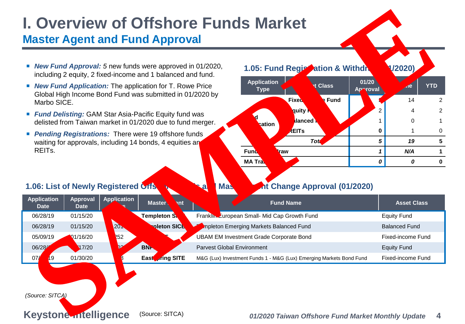# **I. Overview of Offshore Funds Market Master Agent and Fund Approval**

- *New Fund Approval:* 5 new funds were approved in 01/2020, including 2 equity, 2 fixed-income and 1 balanced and fund.
- *New Fund Application:* The application for T. Rowe Price Global High Income Bond Fund was submitted in 01/2020 by Marbo SICE.
- *Fund Delisting:* GAM Star Asia-Pacific Equity fund was delisted from Taiwan market in 01/2020 due to fund merger.
- **Pending Registrations: There were 19 offshore funds** waiting for approvals, including 14 bonds, 4 equities and REITs.

### **1.06: List of Newly Registered Offshore Funds and Master Agent Change Approval (01/2020)**



|                                  |                                                 | • New Fund Approval: 5 new funds were approved in 01/2020,<br>including 2 equity, 2 fixed-income and 1 balanced and fund.  |                                   | 1.05: Fund Regic ration & Withdra                                   |                      |                   | (2020)                   |                              |
|----------------------------------|-------------------------------------------------|----------------------------------------------------------------------------------------------------------------------------|-----------------------------------|---------------------------------------------------------------------|----------------------|-------------------|--------------------------|------------------------------|
| Marbo SICE.                      |                                                 | <b>New Fund Application:</b> The application for T. Rowe Price<br>Global High Income Bond Fund was submitted in 01/2020 by |                                   | <b>Application</b><br><b>Type</b><br><b>Fixed</b>                   | <b>Class</b><br>Fund | 01/20<br>Ap roval | $\overline{4e}$<br>14    | <b>YTD</b><br>$\overline{2}$ |
|                                  |                                                 | <b>Fund Delisting:</b> GAM Star Asia-Pacific Equity fund was                                                               |                                   | quity <b>N</b>                                                      |                      |                   |                          | $\overline{2}$               |
|                                  |                                                 | delisted from Taiwan market in 01/2020 due to fund merger.                                                                 |                                   | <b>Balanced</b><br>ation                                            |                      |                   | 0                        |                              |
|                                  |                                                 | Pending Registrations: There were 19 offshore funds                                                                        |                                   | <b>REITs</b>                                                        | <b>Totl</b>          | 0<br>5            | 19                       | 0<br>5                       |
| REIT <sub>s.</sub>               |                                                 | waiting for approvals, including 14 bonds, 4 equities an                                                                   |                                   | <b>Fund</b><br>raw                                                  |                      | 1                 | N/A                      | $\mathbf 1$                  |
|                                  |                                                 |                                                                                                                            |                                   | <b>MA Tra</b>                                                       |                      | 0                 | 0                        | $\mathbf 0$                  |
|                                  |                                                 |                                                                                                                            |                                   |                                                                     |                      |                   |                          |                              |
| <b>Application</b>               | 1.06: List of Newly Registered Offs<br>Approval | <b>Application</b><br>Master<br>ent                                                                                        | <b>I</b> Mas<br>$\blacksquare$    | <b>At Change Approval (01/2020)</b><br><b>Fund Name</b>             |                      |                   | <b>Asset Class</b>       |                              |
| <b>Date</b><br>06/28/19          | <b>Date</b><br>01/15/20                         | <b>Days</b><br><b>Templeton SK</b>                                                                                         |                                   | Franklin, European Small- Mid Cap Growth Fund                       |                      |                   | <b>Equity Fund</b>       |                              |
| 06/28/19                         | 01/15/20                                        | empleton SICE                                                                                                              |                                   | mpleton Emerging Markets Balanced Fund                              |                      |                   | <b>Balanced Fund</b>     |                              |
| 05/09/19                         | 1/16/20                                         | 252<br><b>CE</b>                                                                                                           |                                   | <b>UBAM EM Investment Grade Corporate Bond</b>                      |                      |                   | <b>Fixed-income Fund</b> |                              |
| 06/2<br>$\sqrt{9}$               | 17/20                                           | $\mathfrak{p}_3$                                                                                                           | <b>Parvest Global Environment</b> |                                                                     |                      |                   | <b>Equity Fund</b>       |                              |
| 0 <sup>1</sup><br>$\sqrt[3]{19}$ | 01/30/20                                        | oring SITE<br>Eas                                                                                                          |                                   | M&G (Lux) Investment Funds 1 - M&G (Lux) Emerging Markets Bond Fund |                      |                   | <b>Fixed-income Fund</b> |                              |

```
(Source: SITCA)
```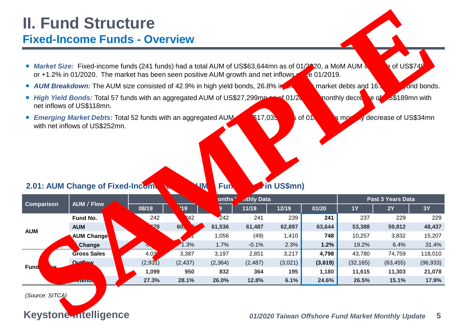# **II. Fund Structure Fixed-Income Funds - Overview**

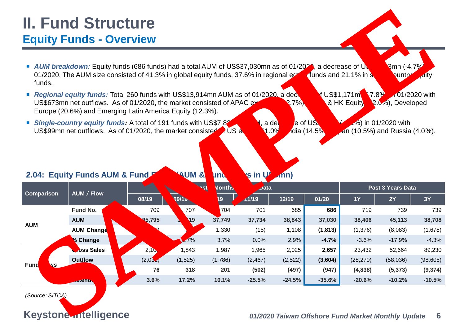# **II. Fund Structure Equity Funds - Overview**



- **Regional equity funds:** Total 260 funds with US\$13,914mn AUM as of 01/2020, a decrease of US\$1,171mn (-7.8%) in 01/2020 with US\$673mn net outflows. As of 01/2020, the market consisted of APAC **ARC (32.7%), China & HK Equit** (2.0%), Developed Europe (20.6%) and Emerging Latin America Equity (12.3%).
- **Single-country equity funds:** A total of 191 funds with US\$7,829m Aumentual Aumentual Aumentual Aumentual Aumentual Aumentual Aumentual Aumentual Aumentual Aumentual Aumentual Aumentual Aumentual Aumentual Aumentual Aumen US\$99mn net outflows. As of 01/2020, the market consisted of US equity (61.0%), India (14.5%),  $\frac{1}{2}$ an (10.5%) and Russia (4.0%).

| AUM breakdown: Equity funds (686 funds) had a total AUM of US\$37,030mn as of 01/20<br>01/2020. The AUM size consisted of 41.3% in global equity funds, 37.6% in regional e<br>Regional equity funds: Total 260 funds with US\$13,914mn AUM as of 01/2020 a deck<br>US\$673mn net outflows. As of 01/2020, the market consisted of APAC.<br>Europe (20.6%) and Emerging Latin America Equity (12.3%).<br>Single-country equity funds: A total of 191 funds with US\$7.8.<br>US\$99mn net outflows. As of 01/2020, the market consisted of US ev<br><b>AUM &amp;</b><br><b>und</b><br>Months | s in U<br>$\boldsymbol{\mathcal{J}}$ ata | (7%)<br><b>Ase of US</b><br>a de<br>1.0 <sup>c</sup><br>$\mathbf{m}$ | , India (14.5% | $J$ , a decrease of $U$ .<br>funds and 21.1% in s.<br>US\$1,171mm<br>& HK Equit<br>Jan (10.5%) and Russia (4.0%). | <mark>8</mark> mn (-4.7%<br>untry<br>$-7.8\%$<br>2.0%), Developed<br>$\sqrt{6}$ ) in 01/2020 with<br>Past 3 Years Data | <sub>1</sub> dity<br>$101/2020$ with |
|---------------------------------------------------------------------------------------------------------------------------------------------------------------------------------------------------------------------------------------------------------------------------------------------------------------------------------------------------------------------------------------------------------------------------------------------------------------------------------------------------------------------------------------------------------------------------------------------|------------------------------------------|----------------------------------------------------------------------|----------------|-------------------------------------------------------------------------------------------------------------------|------------------------------------------------------------------------------------------------------------------------|--------------------------------------|
|                                                                                                                                                                                                                                                                                                                                                                                                                                                                                                                                                                                             |                                          |                                                                      |                |                                                                                                                   |                                                                                                                        |                                      |
|                                                                                                                                                                                                                                                                                                                                                                                                                                                                                                                                                                                             |                                          |                                                                      |                |                                                                                                                   |                                                                                                                        |                                      |
|                                                                                                                                                                                                                                                                                                                                                                                                                                                                                                                                                                                             |                                          |                                                                      |                |                                                                                                                   |                                                                                                                        |                                      |
| 09/15<br>19                                                                                                                                                                                                                                                                                                                                                                                                                                                                                                                                                                                 | 1/19                                     | 12/19                                                                | 01/20          | <b>1Y</b>                                                                                                         | 2Y                                                                                                                     | <b>3Y</b>                            |
| 704<br>707                                                                                                                                                                                                                                                                                                                                                                                                                                                                                                                                                                                  | 701                                      | 685                                                                  | 686            | 719                                                                                                               | 739                                                                                                                    | 739                                  |
| 37,749<br>419                                                                                                                                                                                                                                                                                                                                                                                                                                                                                                                                                                               | 37,734                                   | 38,843                                                               | 37,030         | 38,406                                                                                                            | 45,113                                                                                                                 | 38,708                               |
| 1,330                                                                                                                                                                                                                                                                                                                                                                                                                                                                                                                                                                                       | (15)                                     | 1,108                                                                | (1, 813)       | (1,376)                                                                                                           | (8,083)                                                                                                                | (1,678)                              |
| 1%<br>3.7%                                                                                                                                                                                                                                                                                                                                                                                                                                                                                                                                                                                  | 0.0%                                     | 2.9%                                                                 | $-4.7%$        | $-3.6%$                                                                                                           | $-17.9%$                                                                                                               | $-4.3%$                              |
| 1,843<br>1,987                                                                                                                                                                                                                                                                                                                                                                                                                                                                                                                                                                              | 1,965                                    | 2,025                                                                | 2,657          | 23,432                                                                                                            | 52,664                                                                                                                 | 89,230                               |
| (1,525)                                                                                                                                                                                                                                                                                                                                                                                                                                                                                                                                                                                     | (2, 467)                                 | (2, 522)                                                             | (3,604)        | (28, 270)                                                                                                         | (58,036)                                                                                                               | (98, 605)                            |
| 318                                                                                                                                                                                                                                                                                                                                                                                                                                                                                                                                                                                         | (502)                                    | (497)                                                                | (947)          | (4,838)                                                                                                           | (5, 373)                                                                                                               | (9,374)                              |
|                                                                                                                                                                                                                                                                                                                                                                                                                                                                                                                                                                                             | $-25.5%$                                 | $-24.5%$                                                             | $-35.6%$       | $-20.6%$                                                                                                          | $-10.2%$                                                                                                               | $-10.5%$                             |
|                                                                                                                                                                                                                                                                                                                                                                                                                                                                                                                                                                                             | 17.2%                                    | (1,786)<br>201<br>10.1%                                              |                |                                                                                                                   |                                                                                                                        |                                      |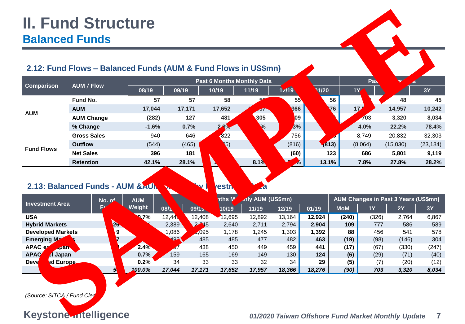|                                     | <b>II. Fund Structure</b>                                                               |             |                |                        |                 |                                   |                       |                 |              |              |                                                    |              |
|-------------------------------------|-----------------------------------------------------------------------------------------|-------------|----------------|------------------------|-----------------|-----------------------------------|-----------------------|-----------------|--------------|--------------|----------------------------------------------------|--------------|
|                                     | <b>Balanced Funds</b><br>2.12: Fund Flows - Balanced Funds (AUM & Fund Flows in US\$mn) |             |                |                        |                 |                                   |                       |                 |              |              |                                                    |              |
|                                     |                                                                                         |             |                |                        |                 | <b>Past 6 Months Monthly Data</b> |                       |                 |              | Pas          | .d                                                 |              |
| <b>Comparison</b>                   | <b>AUM / Flow</b>                                                                       | 08/19       | 09/19          |                        | 10/19           | 11/19                             | 12/19                 | 1/20            |              | 1Y           |                                                    | <b>3Y</b>    |
|                                     | Fund No.                                                                                |             | 57             | 57                     | 58              |                                   | 55                    |                 | 56           |              | 48                                                 | 45           |
|                                     | <b>AUM</b>                                                                              | 17,044      |                | 17,171                 | 17,652          | ,957                              | <b>B66</b>            |                 | 76           | 17           | 14,957                                             | 10,242       |
| <b>AUM</b>                          | <b>AUM Change</b>                                                                       | (282)       |                | 127                    | 481             | 305                               | 409                   |                 |              | 703          | 3,320                                              | 8,034        |
|                                     | % Change                                                                                | $-1.6%$     |                | 0.7%                   | 3%              | <b>V</b> o                        | 2.3%                  |                 |              | 4.0%         | 22.2%                                              | 78.4%        |
|                                     | <b>Gross Sales</b>                                                                      | 940         |                | 646                    | 822             |                                   | 756                   |                 |              | 8,749        | 20,832                                             | 32,303       |
| <b>Fund Flows</b>                   | <b>Outflow</b>                                                                          | (544)       |                | (465)                  | 15)             |                                   | (816)                 |                 | (813)        | (8,064)      | (15,030)                                           | (23, 184)    |
|                                     | <b>Net Sales</b>                                                                        | 396         |                | 181                    |                 |                                   | (60)                  |                 | 123          | 686          | 5,801                                              | 9,119        |
|                                     | <b>Retention</b>                                                                        | 42.1%       |                | 28.1%                  |                 | 8.1%                              | $\gamma$ <sub>o</sub> | 13.1%           |              | 7.8%         | 27.8%                                              | 28.2%        |
|                                     | 2.13: Balanced Funds - AUM & AUM                                                        |             |                |                        | vestn           |                                   |                       |                 |              |              |                                                    |              |
| <b>Investment Area</b>              | No. of                                                                                  | <b>AUM</b>  |                |                        | nths M          | <b>Aly AUM (US\$mn)</b>           |                       |                 |              |              | AUM Changes in Past 3 Years (US\$mn)               |              |
|                                     | R                                                                                       | Weight      | 08/1           | 09/15                  | 10/19           | 11/19                             | 12/19                 | 01/19           | <b>MoM</b>   | <b>1Y</b>    | 2Y                                                 | <b>3Y</b>    |
| <b>USA</b><br><b>Hybrid Markets</b> |                                                                                         | 70.7%<br>9% | 12,44<br>2,389 | 12,408<br>$2 \cdot 45$ | 12,695<br>2,640 | 12,892<br>2,711                   | 13,164<br>2,794       | 12,924<br>2,904 | (240)<br>109 | (326)<br>777 | 2,764<br>586                                       | 6,867<br>589 |
| Developed Managets                  |                                                                                         | <b>B</b>    | 1,086          | ,095                   | 1,178           | 1,245                             | 1,303                 | 1,392           | 88           | 456          | 541                                                | 578          |
| Emerging M                          | 7                                                                                       |             | 493            | 485                    | 485             | 477                               | 482                   | 463             | (19)         | (98)         | (146)                                              | 304          |
| APAC<br>.Japan                      |                                                                                         | Æ.,         | 7ء             | 438                    | 450             | 449                               | 459                   | 441             | (17)         | (67)         | (330)                                              | (247)        |
| <b>APA</b><br>ncl Japan             |                                                                                         | 0.7%        | 159            | 165                    | 169             | 149                               | 130                   | 124             | (6)          | (29)         | (71)                                               | (40)         |
| Dev<br>ed Europe.                   |                                                                                         | 0.2%        | 34             | 33                     | 33              | 32                                | 34                    | 29              | (5)          | (7)          | (20)                                               | (12)         |
| (Source: SITCA / Fund Clea          | $5\sqrt$                                                                                | 100.0%      | 17,044         | 17,171                 | 17,652          | 17,957                            | 18,366                | 18,276          | (90)         | 703          | 3,320                                              | 8,034        |
|                                     | Keystone ntelligence                                                                    |             |                |                        |                 |                                   |                       |                 |              |              | 01/2020 Taiwan Offshore Fund Market Monthly Update | 7            |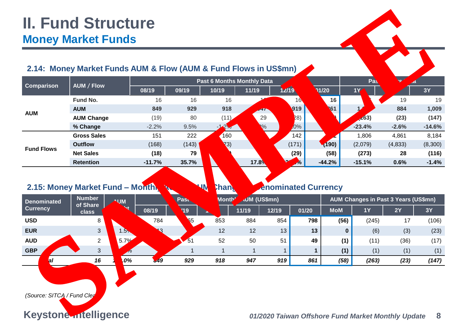## **2.14: Money Market Funds AUM & Flow (AUM & Fund Flows in US\$mn)**

| 2.14: Money Market Funds AUM & Flow (AUM & Fund Flows in US\$mn) | <b>Money Market Funds</b> |                                    |              |            |                                    |                     |              |                            |            |                                             |          |               |
|------------------------------------------------------------------|---------------------------|------------------------------------|--------------|------------|------------------------------------|---------------------|--------------|----------------------------|------------|---------------------------------------------|----------|---------------|
|                                                                  |                           |                                    |              |            | <b>Past 6 Months Monthly Data</b>  |                     |              |                            |            | Pas                                         | .d       |               |
| <b>Comparison</b>                                                | <b>AUM / Flow</b>         |                                    | 08/19        | 09/19      | 10/19                              | 11/19               | 12/19        |                            | 1/20       | <b>1Y</b>                                   |          | <b>3Y</b>     |
|                                                                  | Fund No.                  |                                    | 16           | 16         | 16                                 |                     |              | 16                         | 16         |                                             | 19       | 19            |
|                                                                  | <b>AUM</b>                |                                    | 849          | 929        | 918                                | 947                 |              | 919                        | 61         |                                             | 884      | 1,009         |
| <b>AUM</b>                                                       | <b>AUM Change</b>         |                                    | (19)         | 80         | (11)                               | 29                  |              | (28)                       |            | $\angle$ <b>63</b> )                        | (23)     | (147)         |
|                                                                  | % Change                  |                                    | $-2.2%$      | 9.5%       | $2\%$                              | $\sqrt[6]{\cdot}$   |              | $-3.0%$                    |            | $-23.4%$                                    | $-2.6%$  | $-14.6%$      |
|                                                                  | <b>Gross Sales</b>        |                                    | 151          | 222        | 160                                |                     |              | 142                        |            | 1,806                                       | 4,861    | 8,184         |
| <b>Fund Flows</b>                                                | <b>Outflow</b>            |                                    | (168)        | (143)      | (3)                                |                     |              | (171)                      | (190)      | (2,079)                                     | (4,833)  | (8,300)       |
|                                                                  | <b>Net Sales</b>          |                                    | (18)         | 79         |                                    |                     |              | (29)                       | (58)       | (273)                                       | 28       | (116)         |
|                                                                  |                           |                                    |              |            |                                    |                     |              |                            |            |                                             |          |               |
|                                                                  | <b>Retention</b>          |                                    | $-11.7%$     | 35.7%      |                                    | $17.8\%$            |              | $\frac{1}{2}$              | $-44.2%$   | $-15.1%$                                    | 0.6%     | $-1.4%$       |
| 2.15: Money Market Fund - Month                                  | <b>Number</b>             |                                    |              | Pas.       | <b>NV</b><br><b>Chan</b><br>Month' |                     |              | <b>Enominated Currency</b> |            |                                             |          |               |
| <b>Denominated</b><br><b>Currency</b>                            | of Share                  | <b>AUM</b><br><mark>`'eight</mark> |              |            |                                    | <b>AUM (US\$mn)</b> |              |                            |            | <b>AUM Changes in Past 3 Years (US\$mn)</b> |          |               |
| <b>USD</b>                                                       | class<br>8                |                                    | 08/19<br>784 | V19        | 853                                | 11/19<br>884        | 12/19<br>854 | 01/20<br>798               | <b>MoM</b> | <b>1Y</b>                                   | 2Y<br>17 | <b>3Y</b>     |
| <b>EUR</b>                                                       | $\mathfrak{B}$            |                                    | 13           | <b>865</b> | 12                                 | 12                  | 13           | 13                         | (56)       | (245)<br>$\bf{0}$<br>(6)                    | (3)      | (106)<br>(23) |
| <b>AUD</b>                                                       | $\overline{2}$            | $5.7\%$                            |              | 51         | 52                                 | 50                  | 51           | 49                         | (1)        | (11)                                        | (36)     | (17)          |
| <b>GBP</b>                                                       | 3                         | $\Omega$                           |              |            | $\mathbf 1$                        | 1                   | 1            | $\mathbf 1$                | (1)        | (1)                                         | (1)      | (1)           |
| tal                                                              | 16                        | $.0\%$                             | 49ء          | 929        | 918                                | 947                 | 919          | 861                        | (58)       | (263)                                       | (23)     | (147)         |

| <b>Number</b><br><b>Denominated</b><br>of Share |        | <b>AUM</b> |     | Month'         |       | <b>AUM (US\$mn)</b> |       | <b>AUM Changes in Past 3 Years (US\$mn)</b> |           |       |      |       |
|-------------------------------------------------|--------|------------|-----|----------------|-------|---------------------|-------|---------------------------------------------|-----------|-------|------|-------|
| <b>Currency</b><br>class                        | Veight | 08/19      | V19 |                | 11/19 | 12/19               | 01/20 | <b>MoM</b>                                  | <b>1Y</b> | 2Y    | 3Y   |       |
| <b>USD</b>                                      | 8      |            | 784 | <b>865</b>     | 853   | 884                 | 854   | 798                                         | (56)      | (245) | 17   | (106) |
| <b>EUR</b>                                      | 3      |            | 13  |                | 12    | 12                  | 13    | 13                                          |           | (6)   | (3)  | (23)  |
| <b>AUD</b>                                      | 2      | $5.7\%$    |     | $\frac{1}{51}$ | 52    | 50                  | 51    | 49                                          | (1)       | (11)  | (36) | (17)  |
| GBP                                             |        |            |     |                |       |                     |       |                                             | (1)       | (1)   | (1)  | (1)   |
| <b>\tal</b>                                     | 16     | $.0\%$     | 549 | 929            | 918   | 947                 | 919   | 861                                         | (58)      | (263) | (23) | (147) |
|                                                 |        |            |     |                |       |                     |       |                                             |           |       |      |       |

## **Keystone Intelligence** *01/2020 Taiwan Offshore Fund Market Monthly Update* **8**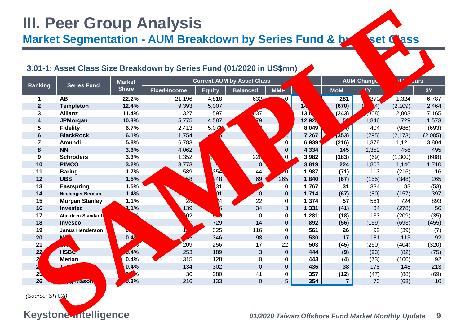## **III. Peer Group Analysis Market Segmentation - AUM Breakdown by Series Fund & by Asset Mass 3.01-1: Asset Class Size Breakdown by Series Fund (01/2020 in US\$mn) Ranking** Series Fund **Market Share Current AUM by Asset Class AUM Changes in Past 3 Years Fixed-Income Equity Balanced MMF Total MoM 1Y 2Y 3Y 1 AB 22.2%** 21,196 4,818 632 81 281 830 830 1,324 6,787 **Templeton 12.4%** 9,393 5,007 411 66 **14,876 (670)** (1,284) (2,109) 2,464 **Allianz 11.4%** 327 597 12,637 0 **13,618 (243)** (308) 2,803 7,165 **JPMorgan 10.8%** 5,775 4,587 **12,928 51 12,928 89 1**,846 729 1,573 **Fidelity 6.7%** 2,413 5,071 8,049 8,049 404 (986) (693) **BlackRock 6.1%** 1,754 4,775 644 94 **7,267 (353)** (795) (2,173) (2,005) **Amundi 5.8%** 6,783 152 4 0 **6,939 (216)** 1,378 1,121 3,804 **8 NN** 3.6% 4,062 24 0 4,334 145 1,352 456 495 **Schroders 3.3%** 1,352 2,410 220 0 **3,982 (183)** (69) (1,300) (608) **10 PIMCO** 3.2% 3.773 3.819 3,819 3,819 1,807 1,140 1,710 **Baring 1.7%** 589 1,354 44 0 **1,987 (71)** 113 (216) 16 **UBS 1.5%** 558 948 69 265 **1,840 (67)** (155) (348) 265 **Eastspring 1.5%** 918 331 518 0 **1,767 31** 334 83 (53) Neuberger Berman 1.4% 1,714 (67) 0 0 0 (157) 397 **Morgan Stanley 1.1%** 28 1,324 22 0 **1,374 57** 561 724 893 **Investec 1.1%** 139 1,156 34 3 **1,331 (41)** 34 (278) 56 **Aberdeen Standard 1.1%** 602 680 0 0 **1,281 (18)** 133 (209) (35) **Invesco 0.7%** 150 729 14 0 **892 (56)** (159) (693) (455) **Janus Henderson 0.5%** 120 325 116 0 **561 26** 92 (39) (7) **MFS 0.4%** 85 346 98 0 **530 17** 181 113 92 **BNPP 0.4%** 209 256 17 22 **503 (45)** (250) (404) (320) **HSBC 0.4%** 253 189 3 0 **444 (9)** (93) (82) (75) **Merian 0.4%** 315 128 0 0 **443 (4)** (73) (100) 92 **24 24 24 24 213 213 213 213 213 PineBridge 0.3%** 36 280 41 0 **357 (12)** (47) (88) (69) **Legg Mason 0.3%** 216 133 0 5 **354 7** 70 (68) 10 **Market Segmentation - AUM Breakdown by Series Fund & Least Least Separation - AUM Breakdown by Series Fund & Least Least Size Breakdown by Series Fund & Least Least Size Breakdown by Series Fund & Least Least Size Breakdo**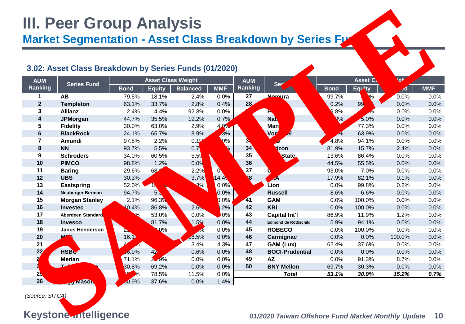# **III. Peer Group Analysis**

**Market Segmentation - Asset Class Breakdown by Series Fx** 

## **3.02: Asset Class Breakdown by Series Funds (01/2020) AUM Ranking Series Fund Asset Class Weight AUM Ranking Series Funding Series Funding Series Funding Series Funding Series Funding Series Funding Series Series Series Series Series Series Funding Series Series Series Series Series Series Series Series Series Series Ser Bond Equity Balanced MMF Bond Equity Balanced MMF AB** 79.5% 18.1% 2.4% 0.0% **27 Nomura** 99.7% 0.3% 0.0% 0.0% **Templeton** 63.1% 33.7% 2.8% 0.4% **28 Pictet** 0.2% 99.8% 0.0% 0.0% **3 Allianz** 2.4% 4.4% 92.8% 0.0% 8% 0.0% 0.0% **JPMorgan** 44.7% 35.5% 19.2% 0.7% **30 Natixis** 95.0% 5.0% 0.0% 0.0% **Fidelity** 30.0% 63.0% 2.9% 4.0% **31 Manulife** 22.7% 77.3% 0.0% 0.0% **BlackRock** 24.1% 65.7% 8.9% 1.3% **32 Vontobel** 36.1% 63.9% 0.0% 0.0% **Amundi** 97.8% 2.2% 0.1% 0.0% **33 UOB** 4.8% 94.1% 0.0% 0.0% **NN** 93.7% 5.5% 0.7% 0.0% **34 Eurizon** 81.9% 15.7% 2.4% 0.0% **Schroders** 34.0% 60.5% 5.5% 0.0% **35 First State** 13.6% 86.4% 0.0% 0.0% **10 PIMCO** 98.8% 1.2% 0.0% **36 DWS** 44.5% 55.5% 0.0% 0.0% Baring 29.6% 68.1% 2.2% 0.1 37 **UBP** 93.0% 7.0% 0.0% 0.0% **UBS** 30.3% 51.5% 3.7% 14.4% **38 AXA** 17.9% 82.1% 0.1% 0.0% **Eastspring** 52.0% 18.7% 29.3% 0.0% **39 Lion** 0.0% 99.8% 0.2% 0.0% **Neuberger Berman** 94.7% 5.3% 0.0% 0.0% **40 Russell** 8.6% 6.6% 0.0% 0.0% **15 Morgan Stanley 2.1% 96.3% 0.0% 2 41 GAM** 0.0% 100.0% 0.0% 0.0% **Investec** 10.4% 86.8% 2.6% 0.2% **42 KBI** 0.0% 100.0% 0.0% 0.0% **Aberdeen Standard** 47.0% 53.0% 0.0% 0.0% **43 Capital Int'l** 86.9% 11.9% 1.2% 0.0% **Invesco** 16.8% 81.7% 1.5% 0.0% **44 Edmond de Rothschild** 5.9% 94.1% 0.0% 0.0% **Janus Henderson** 21.4% 58.0% 20.6% 0.0% **45 ROBECO** 0.0% 100.0% 0.0% 0.0% **MFS** 16.1% 65.4% 18.5% 0.0% **46 Carmignac** 0.0% 0.0% 100.0% 0.0% **21 BNPPPP** 41.5% **41.5% 50.4% 4.3% 4.3% <b>47 GAM (Lux)** 62.4% 37.6% 0.0% 0.0% **HSBC** 56.9% 42.4% 0.6% 0.0% **48 BOCI-Prudential** 0.0% 0.0% 0.0% 0.0% **Merian** 71.1% 28.9% 0.0% 0.0% **49 AZ** 0.0% 91.3% 8.7% 0.0% **T. Rowe Price** 30.8% 69.2% 0.0% 0.0% **50 BNY Mellon** 69.7% 30.3% 0.0% 0.0% **PineBridge** 10.0% 78.5% 11.5% 0.0% *Total 53.1% 30.9% 15.2% 0.7%* **Legg Mason** 60.9% 37.6% 0.0% 1.4% **Market Segmentation - Asset Class Breakdown by Series Free Adown by Series Free Adown by Series Free Adown by Series Free Adown by Series Free Adown and Asset Class Breakdown by Series Funds (01/2020)<br>
Analysis Series Fre**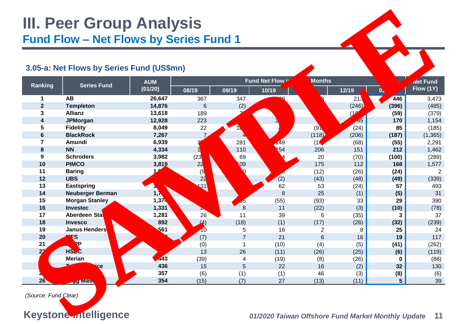## **III. Peer Group Analysis Fund Flow – Net Flows by Series Fund 1 3.05-a: Net Flows by Series Fund (US\$mn) Ranking Series Fund AUM (01/20) Fund Net Flow in Part 6 Months Net Fund Avec Fund Avec Fund Avec Transformation Avec Transformation Avec Transformation Avec Transformation h Flow (1Y) 10/19 10/19 12/19 01/2019 12/19 AB 26,647** 367 347 429 198 213 **446** 3,473 **Templeton 14,876** 6 (2) (38) (295) (246) **(396)** (485) **Allianz 13,618** 189 72 83 (92) (163) **(59)** (379) **JPMorgan 12,928** 223 266 205 87 95 **170** 1,154 **Fidelity 8,049** 22 10 **89 12 (91)** 22 (91) **85** (185) **BlackRock 7,267** 7 4 18 (118) (206) **(187)** (1,365) **Amundi 6,939** 352 281 149 (16) (68) **(55)** 2,291 **NN 4,334** 161 110 154 206 151 **212** 1,462 **Schroders 3,982** (238) 69 14 20 (70) **(100)** (289) **PIMCO 3,819** 225 109 84 175 112 **168** 1,577 **Baring 1,987** (5) 20 6 (12) (26) **(24)** 2 **UBS 1,840** 22 36 (2) (43) (48) **(49)** (339) **Eastspring 1,767** 131 29 62 53 (24) **57** 493 **Neuberger Berman 1,714** 7 17 8 25 (1) **(5)** 31 **Morgan Stanley 1,374** 48 35 (55) (93) 33 **29** 390 **Investec 1,331** 27 8 11 (22) (3) **(10)** (78) **17 Aberdeen Standard <b>1,281 1** 26 **11** 39 6 (35) 3 37 37 **Invesco 892** (4) (18) (1) (17) (26) **(32)** (239) **Janus Henderson 561** 10 5 16 2 8 **25** 24 **MFS 530** (7) 7 21 6 16 **19** 117 **BNPP 503** (0) 1 (10) (4) (5) **(41)** (262) **HSBC 444** 13 26 (11) (26) (25) **(6)** (119) **Merian 443** (39) 4 (19) (8) (26) **0** (86) **22 16** (2) **232 232 130 PineBridge 357** (6) (1) (1) 46 (3) **(8)** (6) **Legg Mason 354** (15) (7) 27 (13) (11) **5** 39 **ELECTION Analysis**<br> **Solid-articles:** Fund Clearly Series Fund 1<br> **Solid-articles:** Fund (USSmn)<br> **Solid-articles:**<br> **Solid-articles:**<br> **Solid-articles:**<br> **Solid-articles:**<br> **Solid-articles:**<br> **Solid-articles:**<br> **Solid-ar**